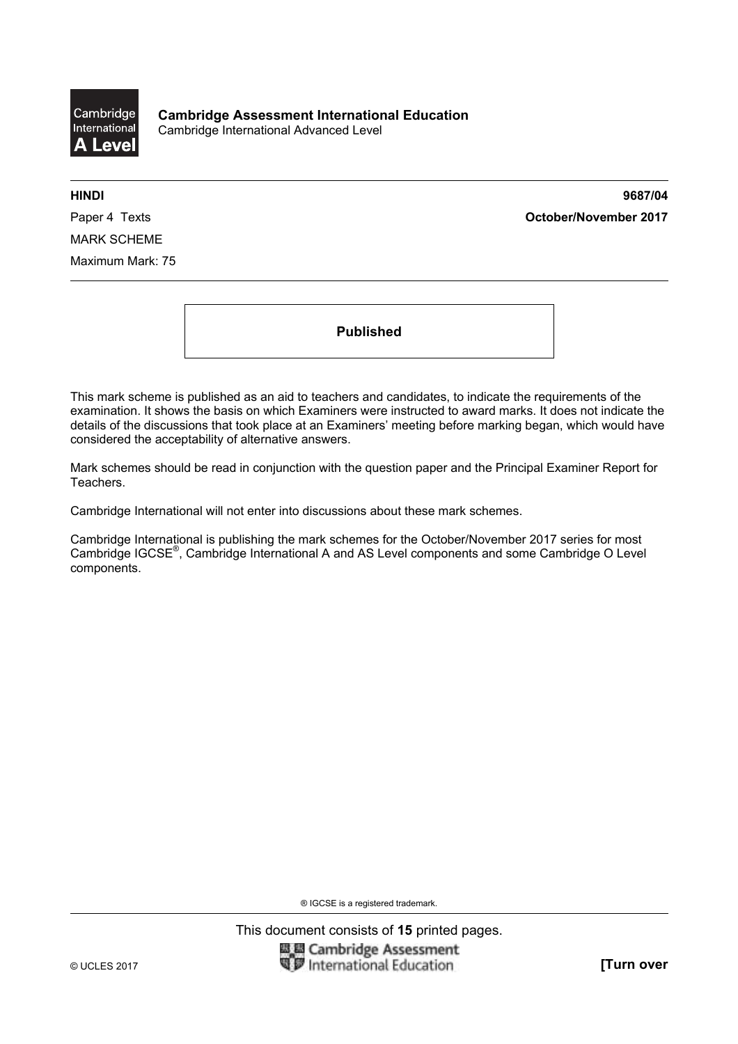

**HINDI 9687/04**  Paper 4 Texts **October/November 2017**

MARK SCHEME Maximum Mark: 75

**Published** 

This mark scheme is published as an aid to teachers and candidates, to indicate the requirements of the examination. It shows the basis on which Examiners were instructed to award marks. It does not indicate the details of the discussions that took place at an Examiners' meeting before marking began, which would have considered the acceptability of alternative answers.

Mark schemes should be read in conjunction with the question paper and the Principal Examiner Report for Teachers.

Cambridge International will not enter into discussions about these mark schemes.

Cambridge International is publishing the mark schemes for the October/November 2017 series for most Cambridge IGCSE®, Cambridge International A and AS Level components and some Cambridge O Level components.

® IGCSE is a registered trademark.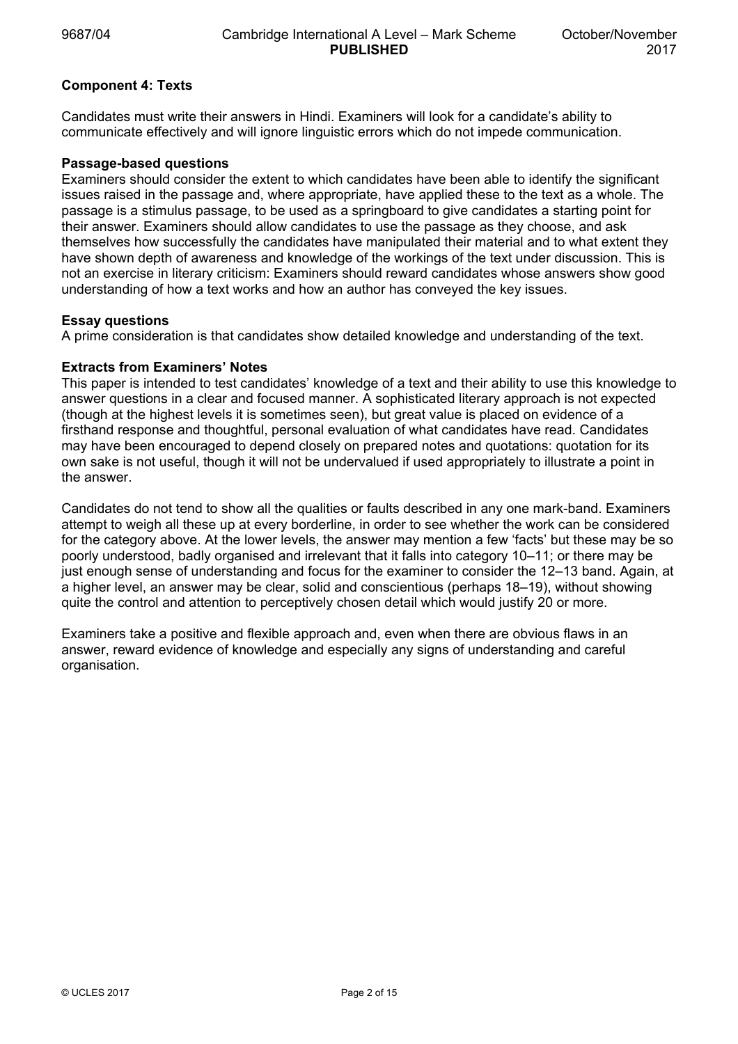# **Component 4: Texts**

Candidates must write their answers in Hindi. Examiners will look for a candidate's ability to communicate effectively and will ignore linguistic errors which do not impede communication.

# **Passage-based questions**

Examiners should consider the extent to which candidates have been able to identify the significant issues raised in the passage and, where appropriate, have applied these to the text as a whole. The passage is a stimulus passage, to be used as a springboard to give candidates a starting point for their answer. Examiners should allow candidates to use the passage as they choose, and ask themselves how successfully the candidates have manipulated their material and to what extent they have shown depth of awareness and knowledge of the workings of the text under discussion. This is not an exercise in literary criticism: Examiners should reward candidates whose answers show good understanding of how a text works and how an author has conveyed the key issues.

### **Essay questions**

A prime consideration is that candidates show detailed knowledge and understanding of the text.

# **Extracts from Examiners' Notes**

This paper is intended to test candidates' knowledge of a text and their ability to use this knowledge to answer questions in a clear and focused manner. A sophisticated literary approach is not expected (though at the highest levels it is sometimes seen), but great value is placed on evidence of a firsthand response and thoughtful, personal evaluation of what candidates have read. Candidates may have been encouraged to depend closely on prepared notes and quotations: quotation for its own sake is not useful, though it will not be undervalued if used appropriately to illustrate a point in the answer.

Candidates do not tend to show all the qualities or faults described in any one mark-band. Examiners attempt to weigh all these up at every borderline, in order to see whether the work can be considered for the category above. At the lower levels, the answer may mention a few 'facts' but these may be so poorly understood, badly organised and irrelevant that it falls into category 10–11; or there may be just enough sense of understanding and focus for the examiner to consider the 12–13 band. Again, at a higher level, an answer may be clear, solid and conscientious (perhaps 18–19), without showing quite the control and attention to perceptively chosen detail which would justify 20 or more.

Examiners take a positive and flexible approach and, even when there are obvious flaws in an answer, reward evidence of knowledge and especially any signs of understanding and careful organisation.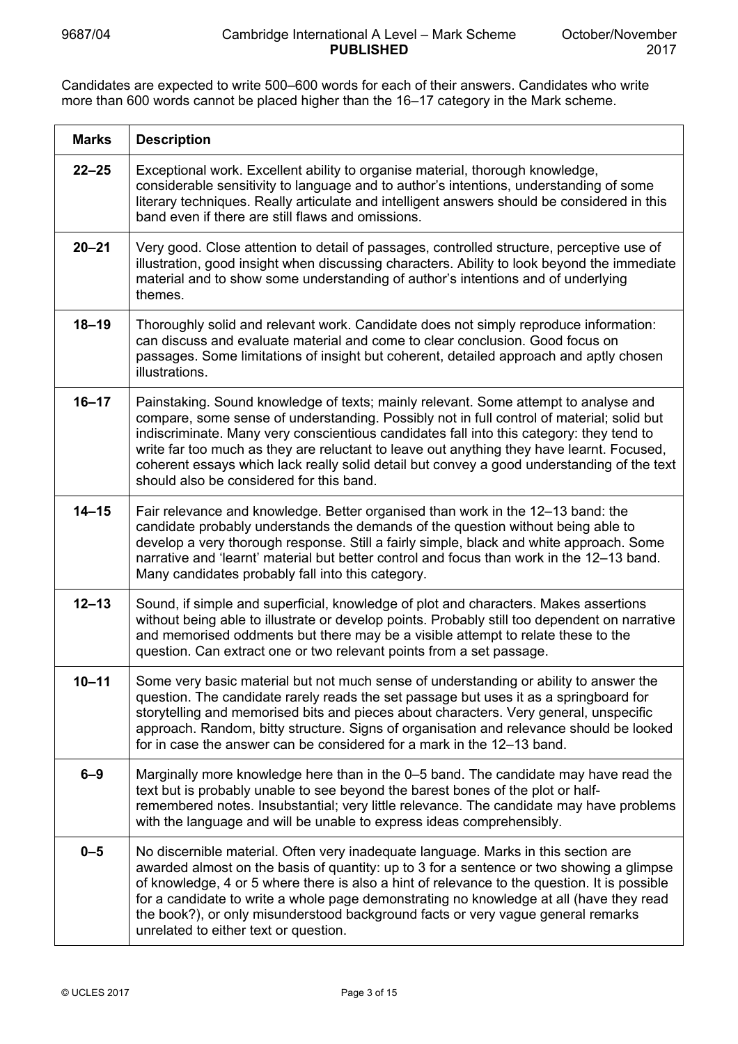Candidates are expected to write 500–600 words for each of their answers. Candidates who write more than 600 words cannot be placed higher than the 16–17 category in the Mark scheme.

| <b>Marks</b> | <b>Description</b>                                                                                                                                                                                                                                                                                                                                                                                                                                                                                                  |
|--------------|---------------------------------------------------------------------------------------------------------------------------------------------------------------------------------------------------------------------------------------------------------------------------------------------------------------------------------------------------------------------------------------------------------------------------------------------------------------------------------------------------------------------|
| $22 - 25$    | Exceptional work. Excellent ability to organise material, thorough knowledge,<br>considerable sensitivity to language and to author's intentions, understanding of some<br>literary techniques. Really articulate and intelligent answers should be considered in this<br>band even if there are still flaws and omissions.                                                                                                                                                                                         |
| $20 - 21$    | Very good. Close attention to detail of passages, controlled structure, perceptive use of<br>illustration, good insight when discussing characters. Ability to look beyond the immediate<br>material and to show some understanding of author's intentions and of underlying<br>themes.                                                                                                                                                                                                                             |
| $18 - 19$    | Thoroughly solid and relevant work. Candidate does not simply reproduce information:<br>can discuss and evaluate material and come to clear conclusion. Good focus on<br>passages. Some limitations of insight but coherent, detailed approach and aptly chosen<br>illustrations.                                                                                                                                                                                                                                   |
| $16 - 17$    | Painstaking. Sound knowledge of texts; mainly relevant. Some attempt to analyse and<br>compare, some sense of understanding. Possibly not in full control of material; solid but<br>indiscriminate. Many very conscientious candidates fall into this category: they tend to<br>write far too much as they are reluctant to leave out anything they have learnt. Focused,<br>coherent essays which lack really solid detail but convey a good understanding of the text<br>should also be considered for this band. |
| $14 - 15$    | Fair relevance and knowledge. Better organised than work in the 12–13 band: the<br>candidate probably understands the demands of the question without being able to<br>develop a very thorough response. Still a fairly simple, black and white approach. Some<br>narrative and 'learnt' material but better control and focus than work in the 12–13 band.<br>Many candidates probably fall into this category.                                                                                                    |
| $12 - 13$    | Sound, if simple and superficial, knowledge of plot and characters. Makes assertions<br>without being able to illustrate or develop points. Probably still too dependent on narrative<br>and memorised oddments but there may be a visible attempt to relate these to the<br>question. Can extract one or two relevant points from a set passage.                                                                                                                                                                   |
| $10 - 11$    | Some very basic material but not much sense of understanding or ability to answer the<br>question. The candidate rarely reads the set passage but uses it as a springboard for<br>storytelling and memorised bits and pieces about characters. Very general, unspecific<br>approach. Random, bitty structure. Signs of organisation and relevance should be looked<br>for in case the answer can be considered for a mark in the 12–13 band.                                                                        |
| $6 - 9$      | Marginally more knowledge here than in the 0-5 band. The candidate may have read the<br>text but is probably unable to see beyond the barest bones of the plot or half-<br>remembered notes. Insubstantial; very little relevance. The candidate may have problems<br>with the language and will be unable to express ideas comprehensibly.                                                                                                                                                                         |
| $0 - 5$      | No discernible material. Often very inadequate language. Marks in this section are<br>awarded almost on the basis of quantity: up to 3 for a sentence or two showing a glimpse<br>of knowledge, 4 or 5 where there is also a hint of relevance to the question. It is possible<br>for a candidate to write a whole page demonstrating no knowledge at all (have they read<br>the book?), or only misunderstood background facts or very vague general remarks<br>unrelated to either text or question.              |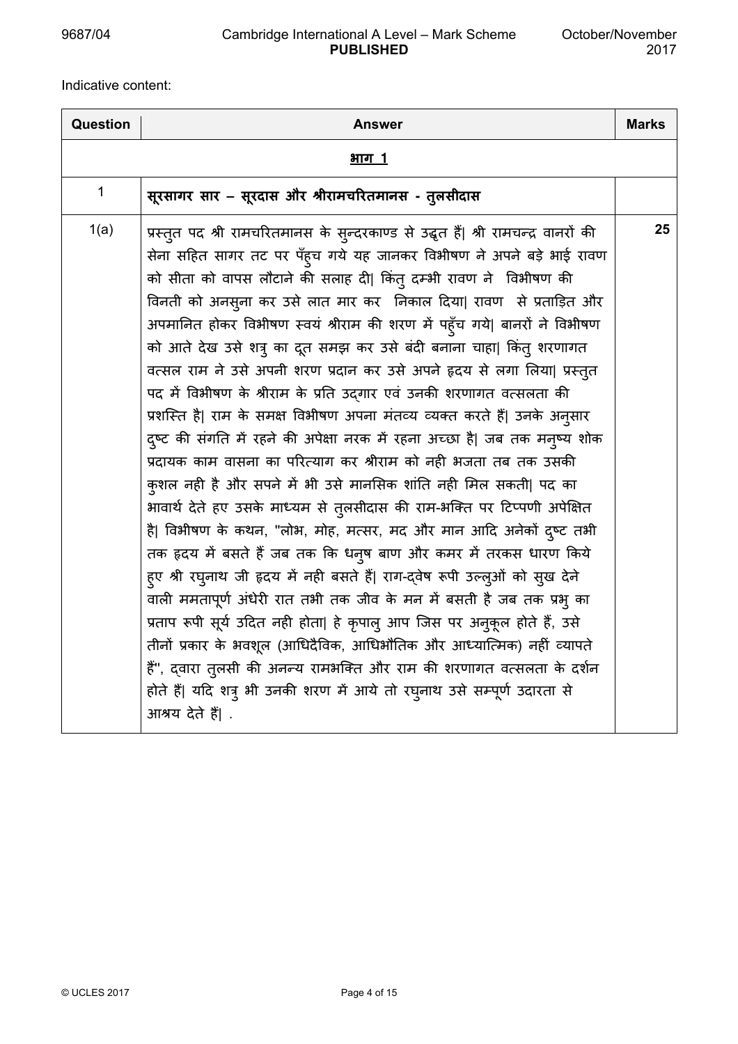## 9687/04 Cambridge International A Level – Mark Scheme **PUBLISHED**

Indicative content:

| Question    | Answer                                                                                                                                                                                                                                                                                                                                                                                                                                                                                                                                                                                                                                                                                                                                                                                                                                                                                                                                                                                                                                                                                                                                                                                                                                                                                                                                                                                                                                                                                                                                                                                                                         | <b>Marks</b> |
|-------------|--------------------------------------------------------------------------------------------------------------------------------------------------------------------------------------------------------------------------------------------------------------------------------------------------------------------------------------------------------------------------------------------------------------------------------------------------------------------------------------------------------------------------------------------------------------------------------------------------------------------------------------------------------------------------------------------------------------------------------------------------------------------------------------------------------------------------------------------------------------------------------------------------------------------------------------------------------------------------------------------------------------------------------------------------------------------------------------------------------------------------------------------------------------------------------------------------------------------------------------------------------------------------------------------------------------------------------------------------------------------------------------------------------------------------------------------------------------------------------------------------------------------------------------------------------------------------------------------------------------------------------|--------------|
|             | <u>भाग 1</u>                                                                                                                                                                                                                                                                                                                                                                                                                                                                                                                                                                                                                                                                                                                                                                                                                                                                                                                                                                                                                                                                                                                                                                                                                                                                                                                                                                                                                                                                                                                                                                                                                   |              |
| $\mathbf 1$ | सूरसागर सार – सूरदास और श्रीरामचरितमानस - तुलसीदास                                                                                                                                                                                                                                                                                                                                                                                                                                                                                                                                                                                                                                                                                                                                                                                                                                                                                                                                                                                                                                                                                                                                                                                                                                                                                                                                                                                                                                                                                                                                                                             |              |
| 1(a)        | प्रस्तुत पद श्री रामचरितमानस के सुन्दरकाण्ड से उद्धृत हैं  श्री रामचन्द्र वानरों की<br>सेना सहित सागर तट पर पँह्च गये यह जानकर विभीषण ने अपने बड़े भाई रावण<br>को सीता को वापस लौटाने की सलाह दी  किंत् दम्भी रावण ने  विभीषण की<br>विनती को अनसुना कर उसे लात मार कर निकाल दिया  रावण से प्रताड़ित और<br>अपमानित होकर विभीषण स्वयं श्रीराम की शरण में पहुँच गये  बानरों ने विभीषण<br>को आते देख उसे शत्रु का दूत समझ कर उसे बंदी बनाना चाहा  किंतु शरणागत<br>वत्सल राम ने उसे अपनी शरण प्रदान कर उसे अपने हृदय से लगा लिया  प्रस्तुत<br>पद में विभीषण के श्रीराम के प्रति उद्गार एवं उनकी शरणागत वत्सलता की<br>प्रशस्ति है  राम के समक्ष विभीषण अपना मंतव्य व्यक्त करते हैं  उनके अनुसार<br>दुष्ट की संगति में रहने की अपेक्षा नरक में रहना अच्छा है  जब तक मनुष्य शोक<br>प्रदायक काम वासना का परित्याग कर श्रीराम को नही भजता तब तक उसकी<br>कुशल नही है और सपने में भी उसे मानसिक शांति नही मिल सकती  पद का<br>भावार्थ देते हए उसके माध्यम से तुलसीदास की राम-भक्ति पर टिप्पणी अपेक्षित<br>है  विभीषण के कथन, "लोभ, मोह, मत्सर, मद और मान आदि अनेकों दुष्ट तभी<br>तक हृदय में बसते हैं जब तक कि धनुष बाण और कमर में तरकस धारण किये<br>ह्ए श्री रघुनाथ जी हृदय में नही बसते हैं  राग-द्वेष रूपी उल्लुओं को सुख देने<br>वाली ममतापूर्ण अंधेरी रात तभी तक जीव के मन में बसती है जब तक प्रभु का<br>प्रताप रूपी सूर्य उदित नही होता  हे कृपालु आप जिस पर अनुकूल होते हैं, उसे<br>तीनों प्रकार के भवशूल (आधिदैविक, आधिभौतिक और आध्यात्मिक) नहीं व्यापते<br>हैं", द्वारा तुलसी की अनन्य रामभक्ति और राम की शरणागत वत्सलता के दर्शन<br>होते हैं  यदि शत्रु भी उनकी शरण में आये तो रघुनाथ उसे सम्पूर्ण उदारता से<br>आश्रय देते हैं  . | 25           |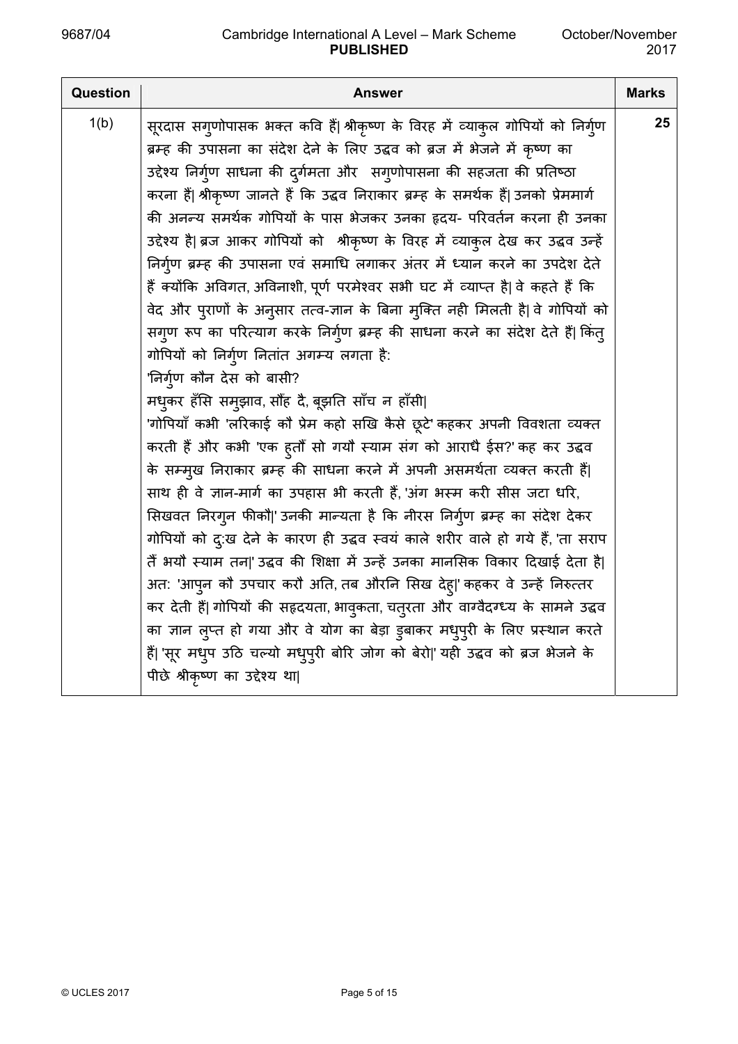| <b>Question</b> | Answer                                                                               | <b>Marks</b> |
|-----------------|--------------------------------------------------------------------------------------|--------------|
| 1(b)            | सूरदास सगुणोपासक भक्त कवि हैं  श्रीकृष्ण के विरह में व्याकुल गोपियों को निर्गुण      | 25           |
|                 | ब्रम्ह की उपासना का संदेश देने के लिए उद्धव को ब्रज में भेजने में कृष्ण का           |              |
|                 | उद्देश्य निर्गुण साधना की दुर्गमता और संगुणोपासना की सहजता की प्रतिष्ठा              |              |
|                 | करना हैं  श्रीकृष्ण जानते हैं कि उद्धव निराकार ब्रम्ह के समर्थक हैं  उनको प्रेममार्ग |              |
|                 | की अनन्य समर्थक गोपियों के पास भेजकर उनका हृदय- परिवर्तन करना ही उनका                |              |
|                 | उद्देश्य है  ब्रज आकर गोपियों को श्रीकृष्ण के विरह में व्याकुल देख कर उद्धव उन्हें   |              |
|                 | निर्ग्ण ब्रम्ह की उपासना एवं समाधि लगाकर अंतर में ध्यान करने का उपदेश देते           |              |
|                 | हैं क्योंकि अविगत, अविनाशी, पूर्ण परमेश्वर सभी घट में व्याप्त है  वे कहते हैं कि     |              |
|                 | वेद और पुराणों के अनुसार तत्व-ज्ञान के बिना मुक्ति नही मिलती है  वे गोपियों को       |              |
|                 | सगुण रूप का परित्याग करके निर्गुण ब्रम्ह की साधना करने का संदेश देते हैं  किंतु      |              |
|                 | गोपियों को निर्गुण नितांत अगम्य लगता है:                                             |              |
|                 | 'निर्ग्¤ण कौन देस को बासी?                                                           |              |
|                 | मधुकर हँसि समुझाव, सौंह दै, बूझति साँच न हाँसी                                       |              |
|                 | 'गोपियाँ कभी 'लरिकाई कौ प्रेम कहो सखि कैसे छूटे' कहकर अपनी विवशता व्यक्त             |              |
|                 | करती हैं और कभी 'एक ह्तौँ सो गयौ स्याम संग को आराधै ईस?' कह कर उद्धव                 |              |
|                 | के सम्मुख निराकार ब्रम्ह की साधना करने में अपनी असमर्थता व्यक्त करती हैं             |              |
|                 | साथ ही वे ज्ञान-मार्ग का उपहास भी करती हैं, 'अंग भस्म करी सीस जटा धरि,               |              |
|                 | सिखवत निरगुन फीकौ ' उनकी मान्यता है कि नीरस निर्गुण ब्रम्ह का संदेश देकर             |              |
|                 | गोपियों को दु:ख देने के कारण ही उद्धव स्वयं काले शरीर वाले हो गये हैं, 'ता सराप      |              |
|                 | तैं भयौ स्याम तन ' उद्धव की शिक्षा में उन्हें उनका मानसिक विकार दिखाई देता है        |              |
|                 | अत: 'आपुन कौ उपचार करौ अति, तब औरनि सिख देहु ' कहकर वे उन्हें निरुत्तर               |              |
|                 | कर देती हैं  गोपियों की सहृदयता, भावुकता, चतुरता और वाग्वैदग्ध्य के सामने उद्धव      |              |
|                 | का ज्ञान लुप्त हो गया और वे योग का बेड़ा डुबाकर मधुपुरी के लिए प्रस्थान करते         |              |
|                 | हैं  'सूर मधुप उठि चल्यो मधुपुरी बोरि जोग को बेरो ' यही उद्धव को ब्रज भेजने के       |              |
|                 | पीछे श्रीकृष्ण का उद्देश्य था                                                        |              |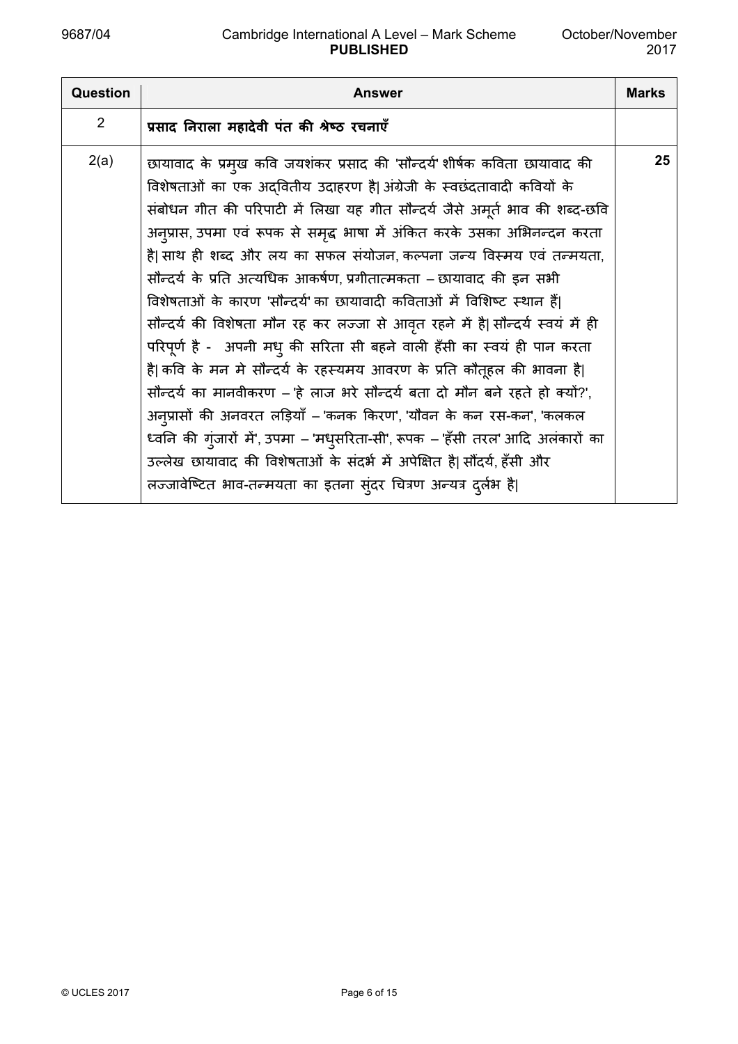| Question       | Answer                                                                                                                                                                                                                                                                                                                                                                                                                                                                                                                                                                                                                                                                                                                                                                                                                                                                                                                                                                                                                                                                                                                                                              | <b>Marks</b> |
|----------------|---------------------------------------------------------------------------------------------------------------------------------------------------------------------------------------------------------------------------------------------------------------------------------------------------------------------------------------------------------------------------------------------------------------------------------------------------------------------------------------------------------------------------------------------------------------------------------------------------------------------------------------------------------------------------------------------------------------------------------------------------------------------------------------------------------------------------------------------------------------------------------------------------------------------------------------------------------------------------------------------------------------------------------------------------------------------------------------------------------------------------------------------------------------------|--------------|
| $\overline{2}$ | प्रसाद निराला महादेवी पंत की श्रेष्ठ रचनाएँ                                                                                                                                                                                                                                                                                                                                                                                                                                                                                                                                                                                                                                                                                                                                                                                                                                                                                                                                                                                                                                                                                                                         |              |
| 2(a)           | छायावाद के प्रमुख कवि जयशंकर प्रसाद की 'सौन्दर्य' शीर्षक कविता छायावाद की<br>विशेषताओं का एक अदवितीय उदाहरण है अंग्रेजी के स्वछंदतावादी कवियों के<br>संबोधन गीत की परिपाटी में लिखा यह गीत सौन्दर्य जैसे अमूर्त भाव की शब्द-छवि<br>अन्प्रास, उपमा एवं रूपक से समृद्ध भाषा में अंकित करके उसका अभिनन्दन करता<br>है  साथ ही शब्द और लय का सफल संयोजन, कल्पना जन्य विस्मय एवं तन्मयता,<br>सौन्दर्य के प्रति अत्यधिक आकर्षण, प्रगीतात्मकता – छायावाद की इन सभी<br>विशेषताओं के कारण 'सौन्दर्य' का छायावादी कविताओं में विशिष्ट स्थान हैं <br>सौन्दर्य की विशेषता मौन रह कर लज्जा से आवृत रहने में है  सौन्दर्य स्वयं में ही<br>परिपूर्ण है - अपनी मधु की सरिता सी बहने वाली हँसी का स्वयं ही पान करता<br>है  कवि के मन मे सौन्दर्य के रहस्यमय आवरण के प्रति कौतूहल की भावना है <br>सौन्दर्य का मानवीकरण – 'हे लाज भरे सौन्दर्य बता दो मौन बने रहते हो क्यों?',<br>अन्प्रासों की अनवरत लड़ियाँ – 'कनक किरण', 'यौवन के कन रस-कन', 'कलकल<br>ध्वनि की गुंजारों में', उपमा – 'मधुसरिता-सी', रूपक – 'हँसी तरल' आदि अलंकारों का<br>उल्लेख छायावाद की विशेषताओं के संदर्भ में अपेक्षित है  सौंदर्य, हँसी और<br>लज्जावेष्टित भाव-तन्मयता का इतना सुंदर चित्रण अन्यत्र दुर्लभ है। | 25           |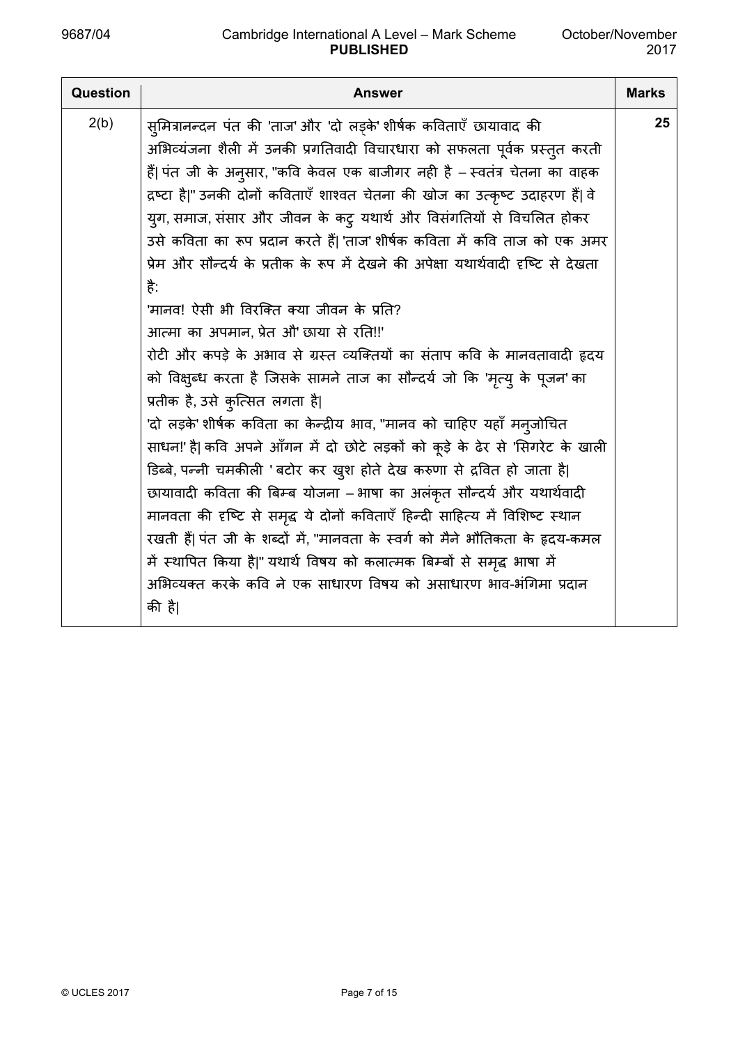| <b>Question</b> | <b>Answer</b>                                                                      | <b>Marks</b> |
|-----------------|------------------------------------------------------------------------------------|--------------|
| 2(b)            | सुमित्रानन्दन पंत की 'ताज' और 'दो लड़्के' शीर्षक कविताएँ छायावाद की                | 25           |
|                 | अभिव्यंजना शैली में उनकी प्रगतिवादी विचारधारा को सफलता पूर्वक प्रस्तुत करती        |              |
|                 | हैं  पंत जी के अनुसार, "कवि केवल एक बाजीगर नही है – स्वतंत्र चेतना का वाहक         |              |
|                 | द्रष्टा है " उनकी दोनों कविताएँ शाश्वत चेतना की खोज का उत्कृष्ट उदाहरण हैं  वे     |              |
|                 | युग, समाज, संसार और जीवन के कटु यथार्थ और विसंगतियों से विचलित होकर                |              |
|                 | उसे कविता का रूप प्रदान करते हैं  'ताज' शीर्षक कविता में कवि ताज को एक अमर         |              |
|                 | प्रेम और सौन्दर्य के प्रतीक के रूप में देखने की अपेक्षा यथार्थवादी दृष्टि से देखता |              |
|                 | है:                                                                                |              |
|                 | 'मानव! ऐसी भी विरक्ति क्या जीवन के प्रति?                                          |              |
|                 | आत्मा का अपमान, प्रेत औ' छाया से रति!!'                                            |              |
|                 | रोटी और कपड़े के अभाव से ग्रस्त व्यक्तियों का संताप कवि के मानवतावादी हृदय         |              |
|                 | को विक्षुब्ध करता है जिसके सामने ताज का सौन्दर्य जो कि 'मृत्यु के पूजन' का         |              |
|                 | प्रतीक है, उसे कुत्सित लगता है                                                     |              |
|                 | 'दो लड़के' शीर्षक कविता का केन्द्रीय भाव, "मानव को चाहिए यहाँ मन्जोचित             |              |
|                 | साधन!' है  कवि अपने आँगन में दो छोटे लड़कों को कूड़े के ढेर से 'सिगरेट के खाली     |              |
|                 | डिब्बे, पन्नी चमकीली 'बटोर कर खुश होते देख करुणा से द्रवित हो जाता है              |              |
|                 | छायावादी कविता की बिम्ब योजना – भाषा का अलंकृत सौन्दर्य और यथार्थवादी              |              |
|                 | मानवता की दृष्टि से समृद्ध ये दोनों कविताएँ हिन्दी साहित्य में विशिष्ट स्थान       |              |
|                 | रखती हैं  पंत जी के शब्दों में, "मानवता के स्वर्ग को मैने भौतिकता के हृदय-कमल      |              |
|                 | में स्थापित किया है " यथार्थ विषय को कलात्मक बिम्बों से समृद्ध भाषा में            |              |
|                 | अभिव्यक्त करके कवि ने एक साधारण विषय को असाधारण भाव-भंगिमा प्रदान                  |              |
|                 | की है                                                                              |              |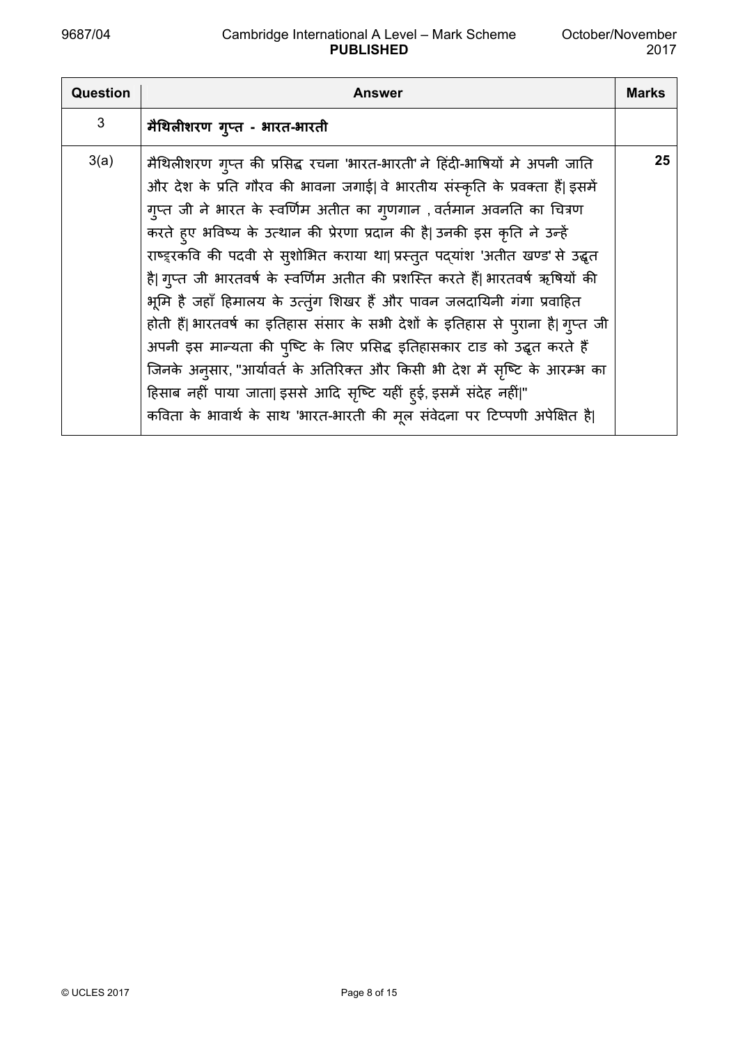| <b>Question</b> | <b>Answer</b>                                                                                                                                                                                                                                                                                                                                                                                                                                                                                                                                                                                                                                                                                                                                                                                                                                                                                                                                                        | <b>Marks</b> |
|-----------------|----------------------------------------------------------------------------------------------------------------------------------------------------------------------------------------------------------------------------------------------------------------------------------------------------------------------------------------------------------------------------------------------------------------------------------------------------------------------------------------------------------------------------------------------------------------------------------------------------------------------------------------------------------------------------------------------------------------------------------------------------------------------------------------------------------------------------------------------------------------------------------------------------------------------------------------------------------------------|--------------|
| 3               | मैथिलीशरण गुप्त - भारत-भारती                                                                                                                                                                                                                                                                                                                                                                                                                                                                                                                                                                                                                                                                                                                                                                                                                                                                                                                                         |              |
| 3(a)            | मैथिलीशरण गुप्त की प्रसिद्ध रचना 'भारत-भारती' ने हिंदी-भाषियों मे अपनी जाति<br>और देश के प्रति गौरव की भावना जगाई  वे भारतीय संस्कृति के प्रवक्ता हैं  इसमें<br>गुप्त जी ने भारत के स्वर्णिम अतीत का गुणगान , वर्तमान अवनति का चित्रण<br>करते हुए भविष्य के उत्थान की प्रेरणा प्रदान की है  उनकी इस कृति ने उन्हें<br>राष्ड्रकवि की पदवी से स्शोभित कराया था  प्रस्तुत पद्यांश 'अतीत खण्ड' से उद्धृत<br>है  गुप्त जी भारतवर्ष के स्वर्णिम अतीत की प्रशस्ति करते हैं  भारतवर्ष ऋषियों की<br>भूमि है जहाँ हिमालय के उत्तूंग शिखर हैं और पावन जलदायिनी गंगा प्रवाहित<br>होती हैं  भारतवर्ष का इतिहास संसार के सभी देशों के इतिहास से पुराना है  गुप्त जी<br>अपनी इस मान्यता की पुष्टि के लिए प्रसिद्ध इतिहासकार टाड को उद्धृत करते हैं<br>जिनके अनुसार, "आर्यावर्त के अतिरिक्त और किसी भी देश में सृष्टि के आरम्भ का<br>हिसाब नहीं पाया जाता  इससे आदि सृष्टि यहीं हुई, इसमें संदेह नहीं "<br>कविता के भावार्थ के साथ 'भारत-भारती की मूल संवेदना पर टिप्पणी अपेक्षित है | 25           |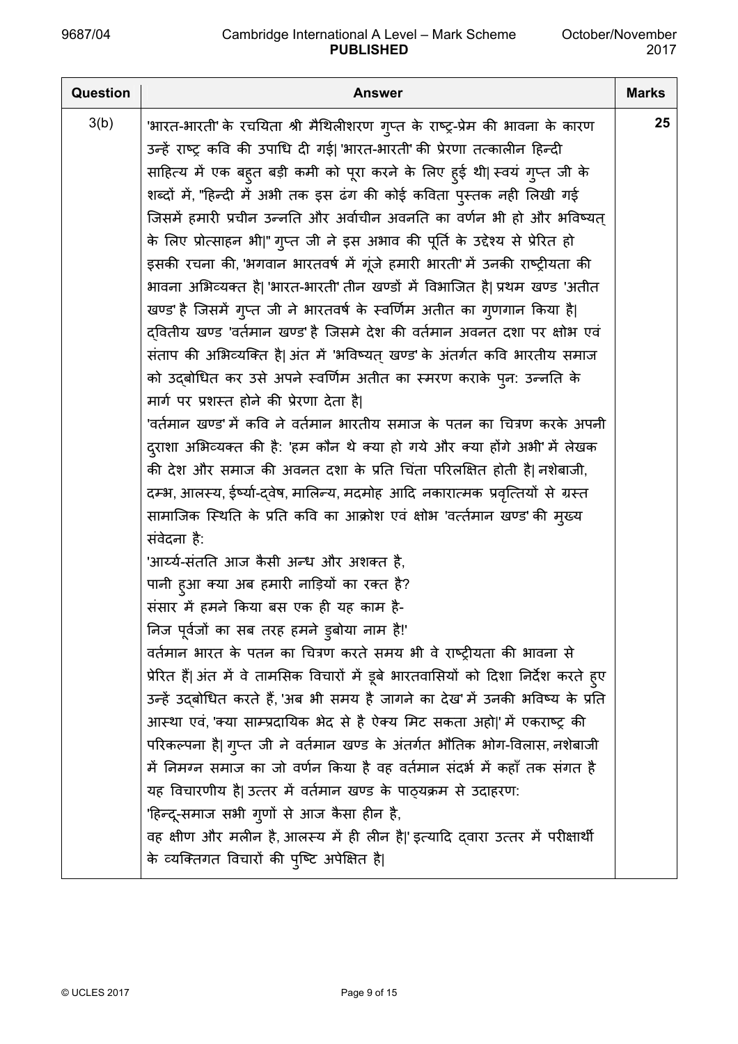| <b>Question</b> | <b>Answer</b>                                                                        | <b>Marks</b> |
|-----------------|--------------------------------------------------------------------------------------|--------------|
| 3(b)            | 'भारत-भारती' के रचयिता श्री मैथिलीशरण गुप्त के राष्ट्र-प्रेम की भावना के कारण        | 25           |
|                 | उन्हें राष्ट्र कवि की उपाधि दी गई  'भारत-भारती' की प्रेरणा तत्कालीन हिन्दी           |              |
|                 | साहित्य में एक बहुत बड़ी कमी को पूरा करने के लिए हुई थी  स्वयं गुप्त जी के           |              |
|                 | शब्दों में, "हिन्दी में अभी तक इस ढंग की कोई कविता पुस्तक नही लिखी गई                |              |
|                 | जिसमें हमारी प्रचीन उन्नति और अर्वाचीन अवनति का वर्णन भी हो और भविष्यत्              |              |
|                 | के लिए प्रोत्साहन भी "गुप्त जी ने इस अभाव की पूर्ति के उद्देश्य से प्रेरित हो        |              |
|                 | इसकी रचना की, 'भगवान भारतवर्ष में गूंजे हमारी भारती' में उनकी राष्ट्रीयता की         |              |
|                 | भावना अभिव्यक्त है  'भारत-भारती' तीन खण्डों में विभाजित है  प्रथम खण्ड 'अतीत         |              |
|                 | खण्ड' है जिसमें गुप्त जी ने भारतवर्ष के स्वर्णिम अतीत का गुणगान किया है              |              |
|                 | द्वितीय खण्ड 'वर्तमान खण्ड' है जिसमे देश की वर्तमान अवनत दशा पर क्षोभ एवं            |              |
|                 | संताप की अभिव्यक्ति है अंत में 'भविष्यत् खण्ड' के अंतर्गत कवि भारतीय समाज            |              |
|                 | को उद्बोधित कर उसे अपने स्वर्णिम अतीत का स्मरण कराके पुन: उन्नति के                  |              |
|                 | मार्ग पर प्रशस्त होने की प्रेरणा देता है                                             |              |
|                 | 'वर्तमान खण्ड' में कवि ने वर्तमान भारतीय समाज के पतन का चित्रण करके अपनी             |              |
|                 | दुराशा अभिव्यक्त की है: 'हम कौन थे क्या हो गये और क्या होंगे अभी' में लेखक           |              |
|                 | की देश और समाज की अवनत दशा के प्रति चिंता परिलक्षित होती है  नशेबाजी,                |              |
|                 | दम्भ, आलस्य, ईर्ष्या-दवेष, मालिन्य, मदमोह आदि नकारात्मक प्रवृत्तियों से ग्रस्त       |              |
|                 | सामाजिक स्थिति के प्रति कवि का आक्रोश एवं क्षोभ 'वर्त्तमान खण्ड' की मुख्य            |              |
|                 | संवेदना है:                                                                          |              |
|                 | 'आर्य्य-संतति आज कैसी अन्ध और अशक्त है,                                              |              |
|                 | पानी हुआ क्या अब हमारी नाड़ियों का रक्त है?                                          |              |
|                 | संसार में हमने किया बस एक ही यह काम है-                                              |              |
|                 | निज पूर्वजों का सब तरह हमने ड्रबोया नाम है!'                                         |              |
|                 | वर्तमान भारत के पतन का चित्रण करते समय भी वे राष्ट्रीयता की भावना से                 |              |
|                 | प्रेरित हैं  अंत में वे तामसिक विचारों में डूबे भारतवासियों को दिशा निर्देश करते ह्ए |              |
|                 | उन्हें उद्बोधित करते हैं, 'अब भी समय है जागने का देख' में उनकी भविष्य के प्रति       |              |
|                 | आस्था एवं, 'क्या साम्प्रदायिक भेद से है ऐक्य मिट सकता अहो ' में एकराष्ट्र की         |              |
|                 | परिकल्पना है  गुप्त जी ने वर्तमान खण्ड के अंतर्गत भौतिक भोग-विलास, नशेबाजी           |              |
|                 | में निमग्न समाज का जो वर्णन किया है वह वर्तमान संदर्भ में कहाँ तक संगत है            |              |
|                 | यह विचारणीय है  उत्तर में वर्तमान खण्ड के पाठ्यक्रम से उदाहरण:                       |              |
|                 | 'हिन्दू-समाज सभी गुणों से आज कैसा हीन है,                                            |              |
|                 | वह क्षीण और मलीन है, आलस्य में ही लीन है ' इत्यादि द्वारा उत्तर में परीक्षार्थी      |              |
|                 | के व्यक्तिगत विचारों की पुष्टि अपेक्षित है                                           |              |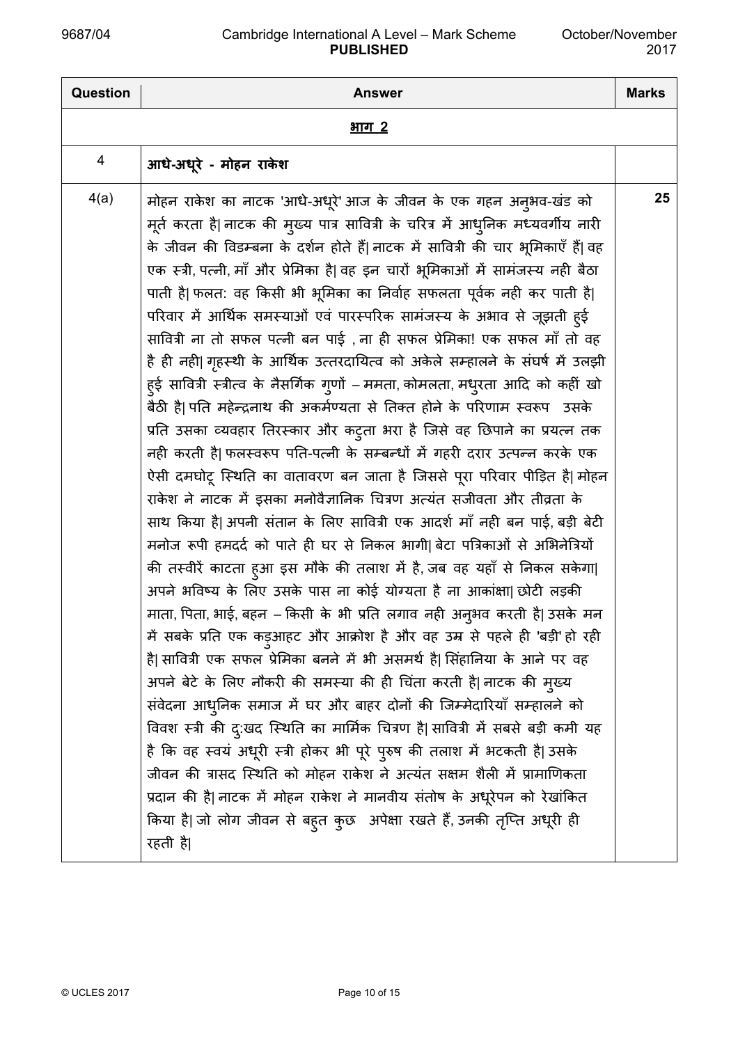| <b>Question</b> | <b>Answer</b>                                                                                                                                                                                                                                                                                                                                                                                                                                                                                                                                                                                                                                                                                                                                                                                                                                                                                                                                                                                                                                                                                                                                                                                                                                                                                                                                                                                                                                                                                                                                                                                                                                                                                                                                                                                                                                                                                                                                                                                                                                                                                                                                                                                                                                        | <b>Marks</b> |
|-----------------|------------------------------------------------------------------------------------------------------------------------------------------------------------------------------------------------------------------------------------------------------------------------------------------------------------------------------------------------------------------------------------------------------------------------------------------------------------------------------------------------------------------------------------------------------------------------------------------------------------------------------------------------------------------------------------------------------------------------------------------------------------------------------------------------------------------------------------------------------------------------------------------------------------------------------------------------------------------------------------------------------------------------------------------------------------------------------------------------------------------------------------------------------------------------------------------------------------------------------------------------------------------------------------------------------------------------------------------------------------------------------------------------------------------------------------------------------------------------------------------------------------------------------------------------------------------------------------------------------------------------------------------------------------------------------------------------------------------------------------------------------------------------------------------------------------------------------------------------------------------------------------------------------------------------------------------------------------------------------------------------------------------------------------------------------------------------------------------------------------------------------------------------------------------------------------------------------------------------------------------------------|--------------|
|                 | <u>भाग 2</u>                                                                                                                                                                                                                                                                                                                                                                                                                                                                                                                                                                                                                                                                                                                                                                                                                                                                                                                                                                                                                                                                                                                                                                                                                                                                                                                                                                                                                                                                                                                                                                                                                                                                                                                                                                                                                                                                                                                                                                                                                                                                                                                                                                                                                                         |              |
| 4               | आधे-अधूरे - मोहन राकेश                                                                                                                                                                                                                                                                                                                                                                                                                                                                                                                                                                                                                                                                                                                                                                                                                                                                                                                                                                                                                                                                                                                                                                                                                                                                                                                                                                                                                                                                                                                                                                                                                                                                                                                                                                                                                                                                                                                                                                                                                                                                                                                                                                                                                               |              |
| 4(a)            | मोहन राकेश का नाटक 'आधे-अधूरे' आज के जीवन के एक गहन अनुभव-खंड को<br>मूर्त करता है  नाटक की मुख्य पात्र सावित्री के चरित्र में आधुनिक मध्यवर्गीय नारी<br>के जीवन की विडम्बना के दर्शन होते हैं  नाटक में सावित्री की चार भूमिकाएँ हैं  वह<br>एक स्त्री, पत्नी, माँ और प्रेमिका है  वह इन चारों भूमिकाओं में सामंजस्य नही बैठा<br>पाती है  फलत: वह किसी भी भूमिका का निर्वाह सफलता पूर्वक नही कर पाती है <br>परिवार में आर्थिक समस्याओं एवं पारस्परिक सामंजस्य के अभाव से जूझती हुई<br>सावित्री ना तो सफल पत्नी बन पाई , ना ही सफल प्रेमिका! एक सफल माँ तो वह<br>है ही नही  गृहस्थी के आर्थिक उत्तरदायित्व को अकेले सम्हालने के संघर्ष में उलझी<br>ह्ई सावित्री स्त्रीत्व के नैसर्गिक गुणों – ममता, कोमलता, मधुरता आदि को कहीं खो<br>बैठी है  पति महेन्द्रनाथ की अकर्मण्यता से तिक्त होने के परिणाम स्वरूप उसके<br>प्रति उसका व्यवहार तिरस्कार और कटुता भरा है जिसे वह छिपाने का प्रयत्न तक<br>नही करती है  फलस्वरूप पति-पत्नी के सम्बन्धों में गहरी दरार उत्पन्न करके एक<br>ऐसी दमघोटू स्थिति का वातावरण बन जाता है जिससे पूरा परिवार पीड़ित है  मोहन<br>राकेश ने नाटक में इसका मनोवैज्ञानिक चित्रण अत्यंत सजीवता और तीव्रता के<br>साथ किया है  अपनी संतान के लिए सावित्री एक आदर्श माँ नही बन पाई, बड़ी बेटी<br>मनोज रूपी हमदर्द को पाते ही घर से निकल भागी  बेटा पत्रिकाओं से अभिनेत्रियों<br>की तस्वीरें काटता हुआ इस मौके की तलाश में है, जब वह यहाँ से निकल सकेगा <br>अपने भविष्य के लिए उसके पास ना कोई योग्यता है ना आकांक्षा  छोटी लड़की<br>माता, पिता, भाई, बहन – किसी के भी प्रति लगाव नही अनुभव करती है  उसके मन<br>में सबके प्रति एक कड़ुआहट और आक्रोश है और वह उम्र से पहले ही 'बड़ी' हो रही<br>है  सावित्री एक सफल प्रेमिका बनने में भी असमर्थ है  सिंहानिया के आने पर वह<br>अपने बेटे के लिए नौकरी की समस्या की ही चिंता करती है नाटक की मुख्य<br>संवेदना आधुनिक समाज में घर और बाहर दोनों की जिम्मेदारियाँ सम्हालने को<br>विवश स्त्री की दु:खद स्थिति का मार्मिक चित्रण है  सावित्री में सबसे बड़ी कमी यह<br>है कि वह स्वयं अधूरी स्त्री होकर भी पूरे पुरुष की तलाश में भटकती है  उसके<br>जीवन की त्रासद स्थिति को मोहन राकेश ने अत्यंत सक्षम शैली में प्रामाणिकता<br>प्रदान की है  नाटक में मोहन राकेश ने मानवीय संतोष के अधूरेपन को रेखांकित<br>किया है  जो लोग जीवन से बहुत कुछ  अपेक्षा रखते हैं, उनकी तृप्ति अधूरी ही<br>रहती है | 25           |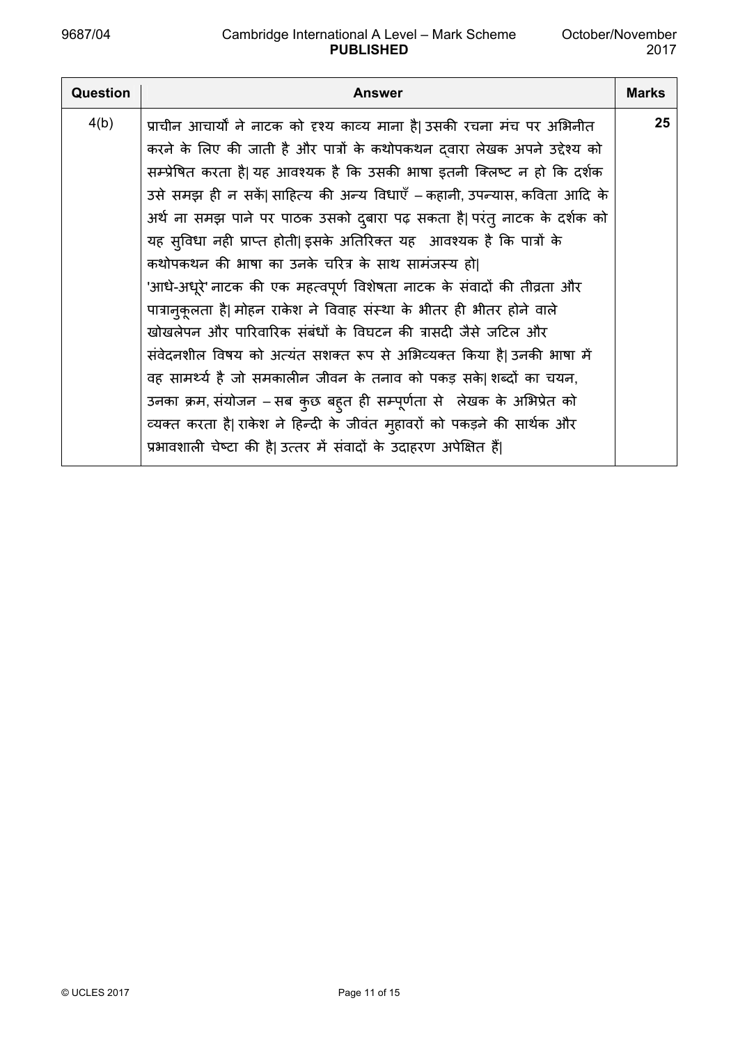| Question | <b>Answer</b>                                                                                                                                                                                                                                                                                                                                                                                                                                                                                                                                                                                                                                                                                                                                                                                                                                                                                                                                                                                                                                                                                                        | <b>Marks</b> |
|----------|----------------------------------------------------------------------------------------------------------------------------------------------------------------------------------------------------------------------------------------------------------------------------------------------------------------------------------------------------------------------------------------------------------------------------------------------------------------------------------------------------------------------------------------------------------------------------------------------------------------------------------------------------------------------------------------------------------------------------------------------------------------------------------------------------------------------------------------------------------------------------------------------------------------------------------------------------------------------------------------------------------------------------------------------------------------------------------------------------------------------|--------------|
| 4(b)     | प्राचीन आचार्यों ने नाटक को दृश्य काव्य माना है  उसकी रचना मंच पर अभिनीत<br>करने के लिए की जाती है और पात्रों के कथोपकथन दवारा लेखक अपने उद्देश्य को<br>सम्प्रेषित करता है  यह आवश्यक है कि उसकी भाषा इतनी क्लिष्ट न हो कि दर्शक<br>उसे समझ ही न सकें  साहित्य की अन्य विधाएँ – कहानी, उपन्यास, कविता आदि के<br>अर्थ ना समझ पाने पर पाठक उसको दुबारा पढ़ सकता है  परंतु नाटक के दर्शक को<br>यह सुविधा नही प्राप्त होती  इसके अतिरिक्त यह आवश्यक है कि पात्रों के<br>कथोपकथन की भाषा का उनके चरित्र के साथ सामंजस्य हो <br>'आधे-अधूरे' नाटक की एक महत्वपूर्ण विशेषता नाटक के संवादों की तीव्रता और<br>पात्रानुकूलता है  मोहन राकेश ने विवाह संस्था के भीतर ही भीतर होने वाले<br>खोखलेपन और पारिवारिक संबंधों के विघटन की त्रासदी जैसे जटिल और<br>संवेदनशील विषय को अत्यंत सशक्त रूप से अभिव्यक्त किया है  उनकी भाषा में<br>वह सामर्थ्य है जो समकालीन जीवन के तनाव को पकड़ सके शब्दों का चयन,<br>उनका क्रम, संयोजन – सब कुछ बहुत ही सम्पूर्णता से लेखक के अभिप्रेत को<br>व्यक्त करता है  राकेश ने हिन्दी के जीवंत मुहावरों को पकड़ने की सार्थक और<br>प्रभावशाली चेष्टा की है  उत्तर में संवादों के उदाहरण अपेक्षित हैं | 25           |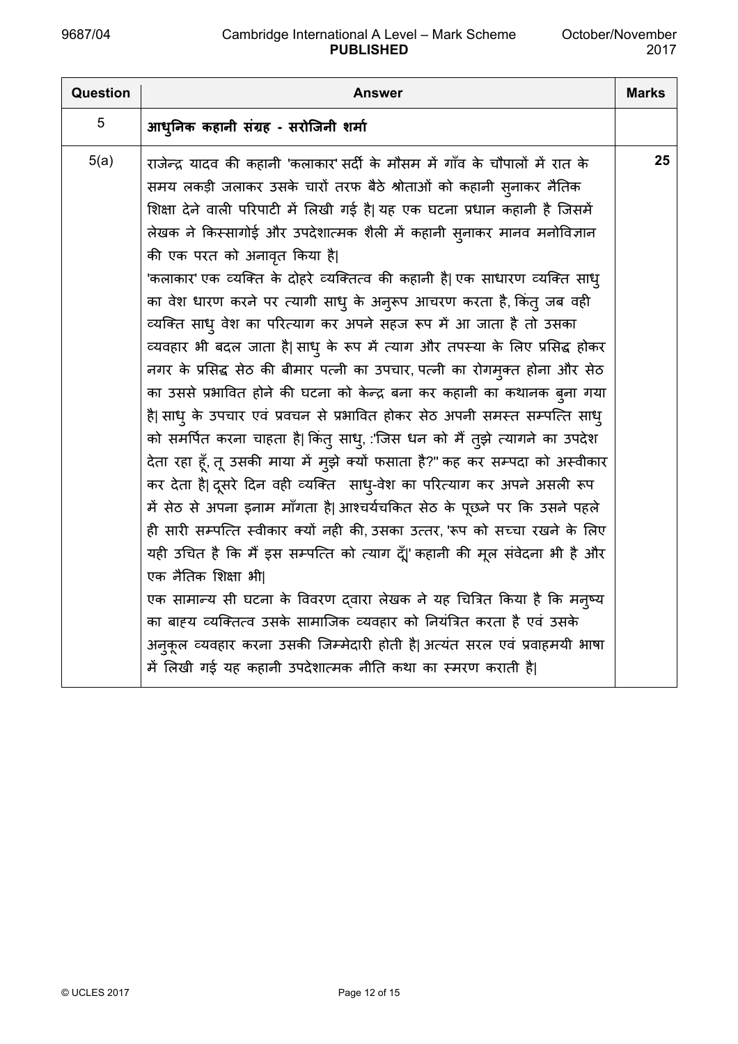| <b>Question</b> | Answer                                                                        | <b>Marks</b> |
|-----------------|-------------------------------------------------------------------------------|--------------|
| 5               | आधुनिक कहानी संग्रह - सरोजिनी शर्मा                                           |              |
| 5(a)            | राजेन्द्र यादव की कहानी 'कलाकार' सर्दी के मौसम में गाँव के चौपालों में रात के | 25           |
|                 | समय लकड़ी जलाकर उसके चारों तरफ बैठे श्रोताओं को कहानी सुनाकर नैतिक            |              |
|                 | शिक्षा देने वाली परिपाटी में लिखी गई है  यह एक घटना प्रधान कहानी है जिसमें    |              |
|                 | लेखक ने किस्सागोई और उपदेशात्मक शैली में कहानी सुनाकर मानव मनोविज्ञान         |              |
|                 | की एक परत को अनावृत किया है                                                   |              |
|                 | 'कलाकार' एक व्यक्ति के दोहरे व्यक्तित्व की कहानी है  एक साधारण व्यक्ति साधु   |              |
|                 | का वेश धारण करने पर त्यागी साधु के अनुरूप आचरण करता है, किंतु जब वही          |              |
|                 | व्यक्ति साधु वेश का परित्याग कर अपने सहज रूप में आ जाता है तो उसका            |              |
|                 | व्यवहार भी बदल जाता है  साधु के रूप में त्याग और तपस्या के लिए प्रसिद्ध होकर  |              |
|                 | नगर के प्रसिद्ध सेठ की बीमार पत्नी का उपचार, पत्नी का रोगमुक्त होना और सेठ    |              |
|                 | का उससे प्रभावित होने की घटना को केन्द्र बना कर कहानी का कथानक ब्ना गया       |              |
|                 | है  साध् के उपचार एवं प्रवचन से प्रभावित होकर सेठ अपनी समस्त सम्पत्ति साध्    |              |
|                 | को समर्पित करना चाहता है  किंतु साधु, :'जिस धन को मैं तुझे त्यागने का उपदेश   |              |
|                 | देता रहा हूँ, तू उसकी माया में मुझे क्यों फसाता है?" कह कर सम्पदा को अस्वीकार |              |
|                 | कर देता है  दूसरे दिन वही व्यक्ति साधु-वेश का परित्याग कर अपने असली रूप       |              |
|                 | में सेठ से अपना इनाम माँगता है  आश्चर्यचकित सेठ के पूछने पर कि उसने पहले      |              |
|                 | ही सारी सम्पत्ति स्वीकार क्यों नही की, उसका उत्तर, 'रूप को सच्चा रखने के लिए  |              |
|                 | यही उचित है कि मैं इस सम्पत्ति को त्याग दूँ 'कहानी की मूल संवेदना भी है और    |              |
|                 | एक नैतिक शिक्षा भी।                                                           |              |
|                 | एक सामान्य सी घटना के विवरण दवारा लेखक ने यह चित्रित किया है कि मन्ष्य        |              |
|                 | का बाह्य व्यक्तित्व उसके सामाजिक व्यवहार को नियंत्रित करता है एवं उसके        |              |
|                 | अनुकूल व्यवहार करना उसकी जिम्मेदारी होती है अत्यंत सरल एवं प्रवाहमयी भाषा     |              |
|                 | में लिखी गई यह कहानी उपदेशात्मक नीति कथा का स्मरण कराती है                    |              |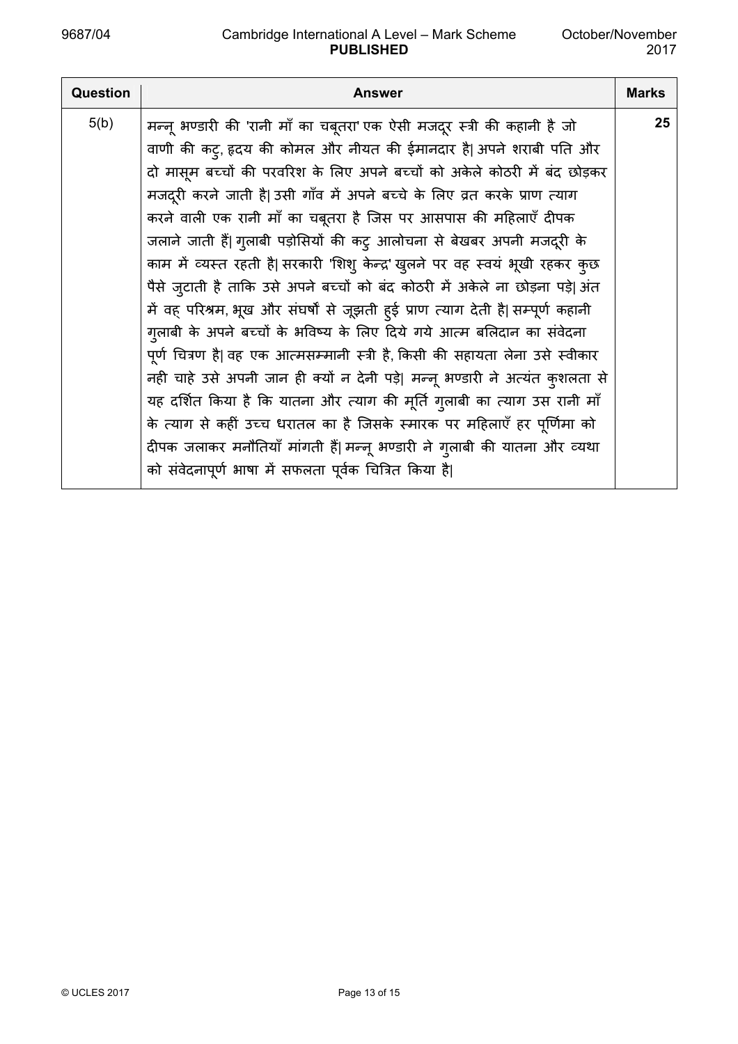| <b>Question</b> | <b>Answer</b>                                                                    | <b>Marks</b> |
|-----------------|----------------------------------------------------------------------------------|--------------|
| 5(b)            | मन्नू भण्डारी की 'रानी माँ का चबूतरा' एक ऐसी मजदूर स्त्री की कहानी है जो         | 25           |
|                 | वाणी की कट्, हृदय की कोमल और नीयत की ईमानदार है  अपने शराबी पति और               |              |
|                 | दो मासूम बच्चों की परवरिश के लिए अपने बच्चों को अकेले कोठरी में बंद छोड़कर       |              |
|                 | मजदूरी करने जाती है  उसी गाँव में अपने बच्चे के लिए व्रत करके प्राण त्याग        |              |
|                 | करने वाली एक रानी माँ का चबूतरा है जिस पर आसपास की महिलाएँ दीपक                  |              |
|                 | जलाने जाती हैं  गुलाबी पड़ोसियों की कट् आलोचना से बेखबर अपनी मजदूरी के           |              |
|                 | काम में व्यस्त रहती है  सरकारी 'शिशु केन्द्र' खुलने पर वह स्वयं भूखी रहकर कुछ    |              |
|                 | पैसे ज़्टाती है ताकि उसे अपने बच्चों को बंद कोठरी में अकेले ना छोड़ना पड़े  अंत  |              |
|                 | में वह परिश्रम, भूख और संघर्षों से जूझती हुई प्राण त्याग देती है  सम्पूर्ण कहानी |              |
|                 | गुलाबी के अपने बच्चों के भविष्य के लिए दिये गये आत्म बलिदान का संवेदना           |              |
|                 | पूर्ण चित्रण है  वह एक आत्मसम्मानी स्त्री है, किसी की सहायता लेना उसे स्वीकार    |              |
|                 | नही चाहे उसे अपनी जान ही क्यों न देनी पड़े  मन्नू भण्डारी ने अत्यंत कुशलता से    |              |
|                 | यह दर्शित किया है कि यातना और त्याग की मूर्ति गुलाबी का त्याग उस रानी माँ        |              |
|                 | के त्याग से कहीं उच्च धरातल का है जिसके स्मारक पर महिलाएँ हर पूर्णिमा को         |              |
|                 | दीपक जलाकर मनौतियाँ मांगती हैं  मन्नू भण्डारी ने गुलाबी की यातना और व्यथा        |              |
|                 | को संवेदनापूर्ण भाषा में सफलता पूर्वक चित्रित किया है                            |              |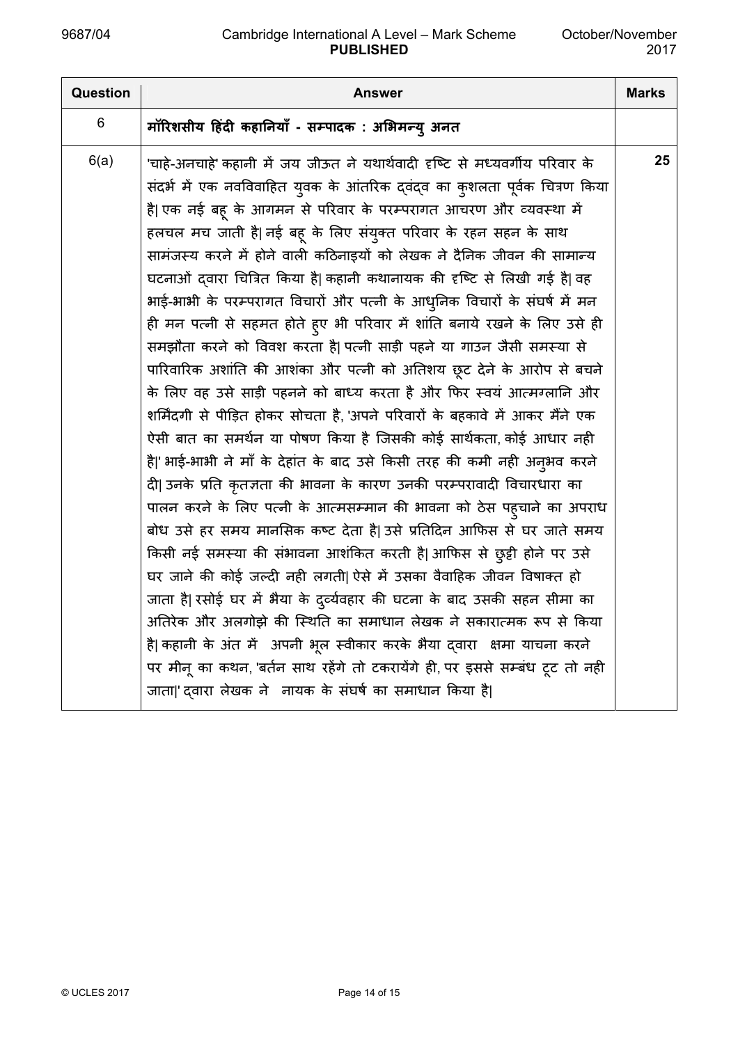| Question | Answer                                                                                                                                                                                                                                                                                                                                                                                                                                                                                                                                                                                                                                                                                                                                                                                                                                                                                                                                                                                                                                                                                                                                                                                                                                                                                                                                                                                                                                                                                                                                                                                                                                                                                                                                                                 | <b>Marks</b> |
|----------|------------------------------------------------------------------------------------------------------------------------------------------------------------------------------------------------------------------------------------------------------------------------------------------------------------------------------------------------------------------------------------------------------------------------------------------------------------------------------------------------------------------------------------------------------------------------------------------------------------------------------------------------------------------------------------------------------------------------------------------------------------------------------------------------------------------------------------------------------------------------------------------------------------------------------------------------------------------------------------------------------------------------------------------------------------------------------------------------------------------------------------------------------------------------------------------------------------------------------------------------------------------------------------------------------------------------------------------------------------------------------------------------------------------------------------------------------------------------------------------------------------------------------------------------------------------------------------------------------------------------------------------------------------------------------------------------------------------------------------------------------------------------|--------------|
| 6        | मॉरिशसीय हिंदी कहानियाँ - सम्पादक : अभिमन्यु अनत                                                                                                                                                                                                                                                                                                                                                                                                                                                                                                                                                                                                                                                                                                                                                                                                                                                                                                                                                                                                                                                                                                                                                                                                                                                                                                                                                                                                                                                                                                                                                                                                                                                                                                                       |              |
| 6(a)     | 'चाहे-अनचाहे' कहानी में जय जीऊत ने यथार्थवादी दृष्टि से मध्यवर्गीय परिवार के<br>संदर्भ में एक नवविवाहित युवक के आंतरिक द्वंद्व का कुशलता पूर्वक चित्रण किया<br>है  एक नई बहू के आगमन से परिवार के परम्परागत आचरण और व्यवस्था में<br>हलचल मच जाती है  नई बहू के लिए संयुक्त परिवार के रहन सहन के साथ<br>सामंजस्य करने में होने वाली कठिनाइयों को लेखक ने दैनिक जीवन की सामान्य<br>घटनाओं दवारा चित्रित किया है  कहानी कथानायक की दृष्टि से लिखी गई है  वह<br>भाई-भाभी के परम्परागत विचारों और पत्नी के आधुनिक विचारों के संघर्ष में मन<br>ही मन पत्नी से सहमत होते हुए भी परिवार में शांति बनाये रखने के लिए उसे ही<br>समझौता करने को विवश करता है  पत्नी साड़ी पहने या गाउन जैसी समस्या से<br>पारिवारिक अशांति की आशंका और पत्नी को अतिशय छूट देने के आरोप से बचने<br>के लिए वह उसे साड़ी पहनने को बाध्य करता है और फिर स्वयं आत्मग्लानि और<br>शर्मिंदगी से पीड़ित होकर सोचता है, 'अपने परिवारों के बहकावे में आकर मैंने एक<br>ऐसी बात का समर्थन या पोषण किया है जिसकी कोई सार्थकता, कोई आधार नही<br>है ' भाई-भाभी ने माँ के देहांत के बाद उसे किसी तरह की कमी नही अनुभव करने<br>दी  उनके प्रति कृतज्ञता की भावना के कारण उनकी परम्परावादी विचारधारा का<br>पालन करने के लिए पत्नी के आत्मसम्मान की भावना को ठेस पहुचाने का अपराध<br>बोध उसे हर समय मानसिक कष्ट देता है  उसे प्रतिदिन आफिस से घर जाते समय<br>किसी नई समस्या की संभावना आशंकित करती है  आफिस से छुट्टी होने पर उसे<br>घर जाने की कोई जल्दी नही लगती  ऐसे में उसका वैवाहिक जीवन विषाक्त हो<br>जाता है  रसोई घर में भैया के दुर्व्यवहार की घटना के बाद उसकी सहन सीमा का<br>अतिरेक और अलगोझे की स्थिति का समाधान लेखक ने सकारात्मक रूप से किया<br>है  कहानी के अंत में  अपनी भूल स्वीकार करके भैया द्वारा  क्षमा याचना करने<br>पर मीनू का कथन, 'बर्तन साथ रहेंगे तो टकरायेंगे ही, पर इससे सम्बंध टूट तो नही | 25           |
|          | जाता 'दवारा लेखक ने  नायक के संघर्ष का समाधान किया है                                                                                                                                                                                                                                                                                                                                                                                                                                                                                                                                                                                                                                                                                                                                                                                                                                                                                                                                                                                                                                                                                                                                                                                                                                                                                                                                                                                                                                                                                                                                                                                                                                                                                                                  |              |